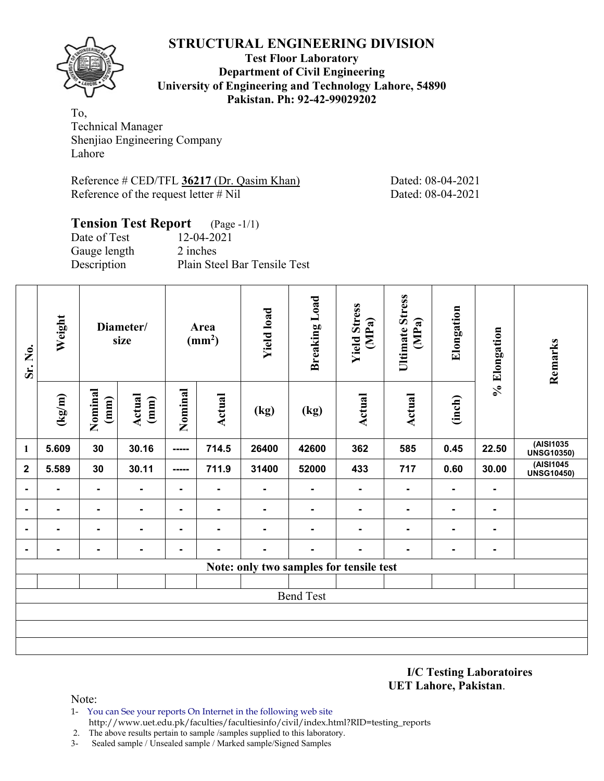**Test Floor Laboratory Department of Civil Engineering University of Engineering and Technology Lahore, 54890 Pakistan. Ph: 92-42-99029202** 

To, Technical Manager Shenjiao Engineering Company Lahore

Reference # CED/TFL 36217 (Dr. Qasim Khan) Dated: 08-04-2021 Reference of the request letter # Nil Dated: 08-04-2021

# **Tension Test Report** (Page -1/1) Date of Test 12-04-2021

Gauge length 2 inches

Description Plain Steel Bar Tensile Test

| Sr. No.        | Weight         |                 | Diameter/<br>size | Area<br>$\text{(mm}^2)$ |                | <b>Yield load</b> | <b>Breaking Load</b> | <b>Yield Stress</b><br>(MPa)            | <b>Ultimate Stress</b><br>(MPa) | Elongation     | % Elongation   | Remarks                        |
|----------------|----------------|-----------------|-------------------|-------------------------|----------------|-------------------|----------------------|-----------------------------------------|---------------------------------|----------------|----------------|--------------------------------|
|                | (kg/m)         | Nominal<br>(mm) | Actual<br>(mm)    | Nominal                 | <b>Actual</b>  | (kg)              | (kg)                 | <b>Actual</b>                           | Actual                          | (inch)         |                |                                |
| $\mathbf{1}$   | 5.609          | 30              | 30.16             | -----                   | 714.5          | 26400             | 42600                | 362                                     | 585                             | 0.45           | 22.50          | (AISI1035<br><b>UNSG10350)</b> |
| $\mathbf 2$    | 5.589          | 30              | 30.11             | -----                   | 711.9          | 31400             | 52000                | 433                                     | 717                             | 0.60           | 30.00          | (AISI1045<br><b>UNSG10450)</b> |
| $\blacksquare$ | $\blacksquare$ | ٠               | $\blacksquare$    | $\blacksquare$          | $\blacksquare$ | $\blacksquare$    | ٠                    | Ξ.                                      | $\blacksquare$                  | $\blacksquare$ | $\blacksquare$ |                                |
| ۰              | $\blacksquare$ | ۰               | $\blacksquare$    | $\blacksquare$          | $\blacksquare$ | $\blacksquare$    | ۰                    | Ξ.                                      | $\blacksquare$                  | $\blacksquare$ | $\blacksquare$ |                                |
| $\blacksquare$ |                | ۰               | $\blacksquare$    | $\blacksquare$          | ۰              | $\blacksquare$    | ۰                    |                                         | $\blacksquare$                  | $\blacksquare$ | $\blacksquare$ |                                |
| $\blacksquare$ | $\blacksquare$ | ۰               | $\blacksquare$    | $\blacksquare$          | $\blacksquare$ | $\blacksquare$    | ٠                    | Ξ.                                      | $\blacksquare$                  | $\blacksquare$ | $\blacksquare$ |                                |
|                |                |                 |                   |                         |                |                   |                      | Note: only two samples for tensile test |                                 |                |                |                                |
|                |                |                 |                   |                         |                |                   |                      |                                         |                                 |                |                |                                |
|                |                |                 |                   |                         |                |                   | <b>Bend Test</b>     |                                         |                                 |                |                |                                |
|                |                |                 |                   |                         |                |                   |                      |                                         |                                 |                |                |                                |
|                |                |                 |                   |                         |                |                   |                      |                                         |                                 |                |                |                                |
|                |                |                 |                   |                         |                |                   |                      |                                         |                                 |                |                |                                |

**I/C Testing Laboratoires UET Lahore, Pakistan**.

- 1- You can See your reports On Internet in the following web site http://www.uet.edu.pk/faculties/facultiesinfo/civil/index.html?RID=testing\_reports
- 2. The above results pertain to sample /samples supplied to this laboratory.
- 3- Sealed sample / Unsealed sample / Marked sample/Signed Samples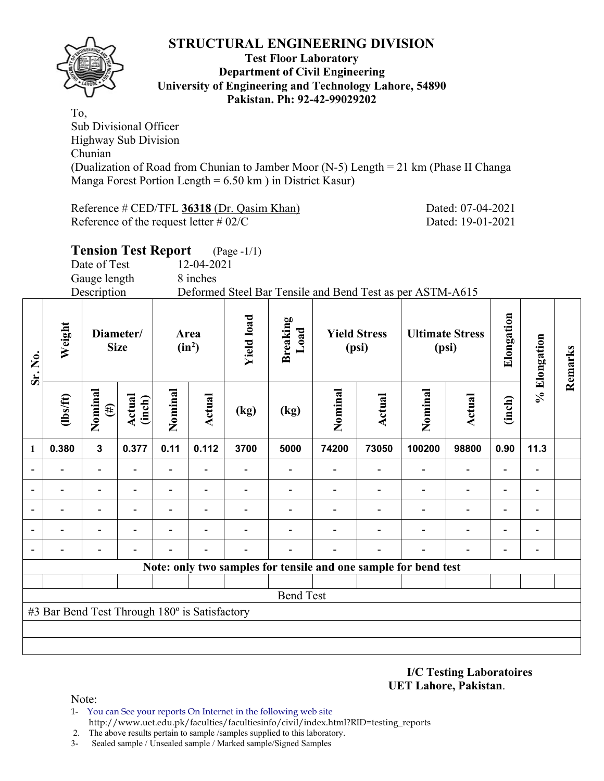

#### **Test Floor Laboratory Department of Civil Engineering University of Engineering and Technology Lahore, 54890 Pakistan. Ph: 92-42-99029202**

To, Sub Divisional Officer Highway Sub Division Chunian (Dualization of Road from Chunian to Jamber Moor (N-5) Length = 21 km (Phase II Changa Manga Forest Portion Length = 6.50 km ) in District Kasur)

Reference # CED/TFL 36318 (Dr. Qasim Khan) Dated: 07-04-2021 Reference of the request letter # 02/C Dated: 19-01-2021

**Remarks** 

Remarks

|              |                |                          | <b>Tension Test Report</b> |         |                  | $(Page - 1/1)$ |                                       |         |                              |                                                                 |                                 |            |              |
|--------------|----------------|--------------------------|----------------------------|---------|------------------|----------------|---------------------------------------|---------|------------------------------|-----------------------------------------------------------------|---------------------------------|------------|--------------|
|              |                | Date of Test             |                            |         | 12-04-2021       |                |                                       |         |                              |                                                                 |                                 |            |              |
|              |                | Gauge length             |                            |         | 8 inches         |                |                                       |         |                              |                                                                 |                                 |            |              |
|              |                | Description              |                            |         |                  |                |                                       |         |                              | Deformed Steel Bar Tensile and Bend Test as per ASTM-A615       |                                 |            |              |
| Sr. No.      | Weight         | Diameter/<br><b>Size</b> |                            |         | Area<br>$(in^2)$ |                | <b>Yield load</b><br>Breaking<br>Load |         | <b>Yield Stress</b><br>(psi) |                                                                 | <b>Ultimate Stress</b><br>(psi) | Elongation | % Elongation |
|              | $\frac{2}{10}$ | Nominal<br>$(\#)$        | Actual<br>(inch)           | Nominal | Actual           | (kg)           | (kg)                                  | Nominal | Actual                       | Nominal                                                         | Actual                          | (inch)     |              |
| $\mathbf{1}$ | 0.380          | $\mathbf{3}$             | 0.377                      | 0.11    | 0.112            | 3700           | 5000                                  | 74200   | 73050                        | 100200                                                          | 98800                           | 0.90       | 11.3         |
|              |                |                          |                            |         |                  |                |                                       |         |                              |                                                                 |                                 |            |              |
|              |                |                          |                            |         |                  |                |                                       |         |                              |                                                                 |                                 |            |              |
| -            |                |                          |                            |         |                  |                |                                       |         |                              |                                                                 |                                 |            |              |
|              |                |                          |                            |         |                  |                |                                       |         |                              |                                                                 |                                 |            |              |
|              |                |                          |                            |         |                  |                |                                       |         |                              |                                                                 |                                 |            |              |
|              |                |                          |                            |         |                  |                |                                       |         |                              | Note: only two samples for tensile and one sample for bend test |                                 |            |              |
|              |                |                          |                            |         |                  |                |                                       |         |                              |                                                                 |                                 |            |              |
|              |                |                          |                            |         |                  |                | <b>Bend Test</b>                      |         |                              |                                                                 |                                 |            |              |

#3 Bar Bend Test Through 180º is Satisfactory

**I/C Testing Laboratoires UET Lahore, Pakistan**.

- 1- You can See your reports On Internet in the following web site http://www.uet.edu.pk/faculties/facultiesinfo/civil/index.html?RID=testing\_reports
- 2. The above results pertain to sample /samples supplied to this laboratory.
- 3- Sealed sample / Unsealed sample / Marked sample/Signed Samples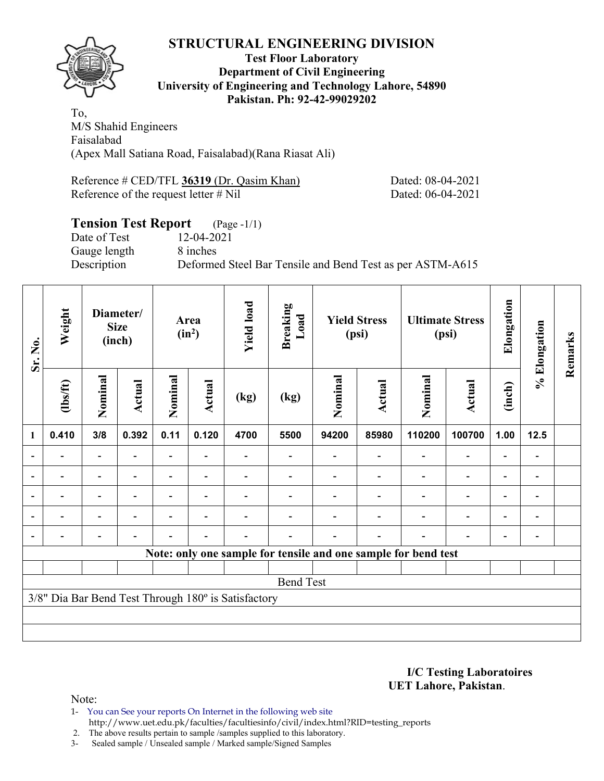

#### **Test Floor Laboratory Department of Civil Engineering University of Engineering and Technology Lahore, 54890 Pakistan. Ph: 92-42-99029202**

To, M/S Shahid Engineers Faisalabad (Apex Mall Satiana Road, Faisalabad)(Rana Riasat Ali)

| Reference # CED/TFL 36319 (Dr. Qasim Khan) | Dated: 08-04-2021 |
|--------------------------------------------|-------------------|
| Reference of the request letter $\#$ Nil   | Dated: 06-04-2021 |

# **Tension Test Report** (Page -1/1)

Date of Test 12-04-2021 Gauge length 8 inches

Description Deformed Steel Bar Tensile and Bend Test as per ASTM-A615

| Sr. No.        | Weight<br>Diameter/<br><b>Size</b><br>(inch) |                          | Area<br>$(in^2)$         |                | <b>Yield load</b>        | <b>Breaking</b><br>Load                             | <b>Yield Stress</b><br>(psi) |         | <b>Ultimate Stress</b><br>(psi) |                                                                | Elongation               | % Elongation             | Remarks                  |  |
|----------------|----------------------------------------------|--------------------------|--------------------------|----------------|--------------------------|-----------------------------------------------------|------------------------------|---------|---------------------------------|----------------------------------------------------------------|--------------------------|--------------------------|--------------------------|--|
|                | (1bs/ft)                                     | Nominal                  | <b>Actual</b>            | Nominal        | Actual                   | (kg)                                                | (kg)                         | Nominal | Actual                          | Nominal                                                        | Actual                   | (inch)                   |                          |  |
| $\mathbf{1}$   | 0.410                                        | 3/8                      | 0.392                    | 0.11           | 0.120                    | 4700                                                | 5500                         | 94200   | 85980                           | 110200                                                         | 100700                   | 1.00                     | 12.5                     |  |
| ۰              |                                              | $\blacksquare$           |                          |                |                          |                                                     |                              |         |                                 |                                                                |                          |                          |                          |  |
| $\overline{a}$ |                                              | $\overline{\phantom{a}}$ | $\overline{\phantom{a}}$ | $\blacksquare$ | $\overline{\phantom{a}}$ |                                                     |                              |         |                                 | $\overline{\phantom{0}}$                                       | $\overline{a}$           | $\overline{\phantom{0}}$ | $\overline{\phantom{a}}$ |  |
|                | $\blacksquare$                               | Ξ.                       |                          | $\overline{a}$ | $\overline{\phantom{0}}$ |                                                     |                              |         |                                 | $\overline{\phantom{0}}$                                       | $\blacksquare$           | $\blacksquare$           |                          |  |
|                |                                              | $\overline{\phantom{0}}$ | ۰                        | $\blacksquare$ | $\blacksquare$           |                                                     |                              |         |                                 |                                                                | $\overline{\phantom{0}}$ | $\blacksquare$           | $\blacksquare$           |  |
|                |                                              | $\overline{\phantom{0}}$ |                          |                | $\overline{\phantom{0}}$ |                                                     |                              |         |                                 |                                                                |                          | ۰                        |                          |  |
|                |                                              |                          |                          |                |                          |                                                     |                              |         |                                 | Note: only one sample for tensile and one sample for bend test |                          |                          |                          |  |
|                |                                              |                          |                          |                |                          |                                                     |                              |         |                                 |                                                                |                          |                          |                          |  |
|                |                                              |                          |                          |                |                          |                                                     | <b>Bend Test</b>             |         |                                 |                                                                |                          |                          |                          |  |
|                |                                              |                          |                          |                |                          | 3/8" Dia Bar Bend Test Through 180° is Satisfactory |                              |         |                                 |                                                                |                          |                          |                          |  |
|                |                                              |                          |                          |                |                          |                                                     |                              |         |                                 |                                                                |                          |                          |                          |  |
|                |                                              |                          |                          |                |                          |                                                     |                              |         |                                 |                                                                |                          |                          |                          |  |

**I/C Testing Laboratoires UET Lahore, Pakistan**.

- 1- You can See your reports On Internet in the following web site http://www.uet.edu.pk/faculties/facultiesinfo/civil/index.html?RID=testing\_reports
- 2. The above results pertain to sample /samples supplied to this laboratory.
- 3- Sealed sample / Unsealed sample / Marked sample/Signed Samples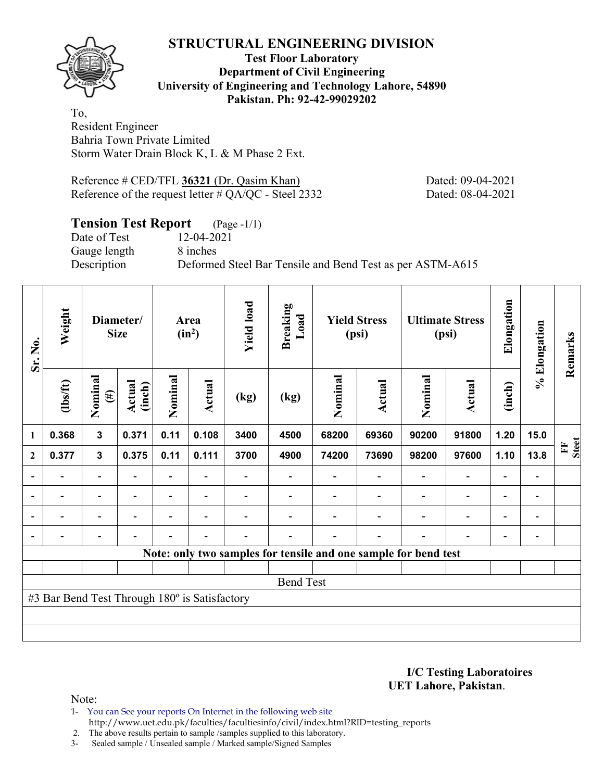

#### **Test Floor Laboratory Department of Civil Engineering University of Engineering and Technology Lahore, 54890 Pakistan. Ph: 92-42-99029202**

To, Resident Engineer Bahria Town Private Limited Storm Water Drain Block K, L & M Phase 2 Ext.

Reference # CED/TFL 36321 (Dr. Qasim Khan) Dated: 09-04-2021 Reference of the request letter # QA/QC - Steel 2332 Dated: 08-04-2021

# **Tension Test Report** (Page -1/1)

Date of Test 12-04-2021 Gauge length 8 inches

Description Deformed Steel Bar Tensile and Bend Test as per ASTM-A615

| Sr. No.          | Weight                                        | Diameter/<br><b>Size</b> |                          | Area<br>$(in^2)$         |                          | <b>Yield load</b> | <b>Breaking</b><br>Load | <b>Yield Stress</b><br>(psi)                                    |        | <b>Ultimate Stress</b><br>(psi) |                          | Elongation               | % Elongation                 | Remarks           |
|------------------|-----------------------------------------------|--------------------------|--------------------------|--------------------------|--------------------------|-------------------|-------------------------|-----------------------------------------------------------------|--------|---------------------------------|--------------------------|--------------------------|------------------------------|-------------------|
|                  | $\frac{2}{10}$                                | Nominal<br>$(\#)$        | Actual<br>(inch)         | Nominal                  | Actual                   | (kg)              | (kg)                    | Nominal                                                         | Actual | Nominal                         | <b>Actual</b>            | (inch)                   |                              |                   |
| 1                | 0.368                                         | $\overline{\mathbf{3}}$  | 0.371                    | 0.11                     | 0.108                    | 3400              | 4500                    | 68200                                                           | 69360  | 90200                           | 91800                    | 1.20                     | 15.0                         |                   |
| $\boldsymbol{2}$ | 0.377                                         | $\mathbf{3}$             | 0.375                    | 0.11                     | 0.111                    | 3700              | 4900                    | 74200                                                           | 73690  | 98200                           | 97600                    | 1.10                     | 13.8                         | <b>Steet</b><br>E |
|                  |                                               | $\blacksquare$           |                          | $\overline{\phantom{0}}$ |                          |                   |                         |                                                                 |        |                                 | $\overline{\phantom{0}}$ | $\overline{\phantom{a}}$ |                              |                   |
| $\overline{a}$   |                                               | $\overline{\phantom{a}}$ |                          |                          | $\overline{\phantom{a}}$ |                   |                         |                                                                 |        |                                 | $\overline{a}$           | $\qquad \qquad -$        | $\qquad \qquad \blacksquare$ |                   |
| $\blacksquare$   | -                                             | $\overline{\phantom{a}}$ | $\overline{\phantom{a}}$ | $\blacksquare$           | $\overline{\phantom{a}}$ |                   |                         |                                                                 |        | $\overline{\phantom{a}}$        | $\overline{a}$           | $\overline{\phantom{0}}$ | $\overline{\phantom{0}}$     |                   |
|                  | -                                             | $\overline{\phantom{0}}$ |                          |                          | $\blacksquare$           | -                 |                         |                                                                 | ۰      | $\blacksquare$                  | $\overline{a}$           | $\overline{\phantom{a}}$ | $\qquad \qquad \blacksquare$ |                   |
|                  |                                               |                          |                          |                          |                          |                   |                         | Note: only two samples for tensile and one sample for bend test |        |                                 |                          |                          |                              |                   |
|                  |                                               |                          |                          |                          |                          |                   |                         |                                                                 |        |                                 |                          |                          |                              |                   |
|                  |                                               |                          |                          |                          |                          |                   | <b>Bend Test</b>        |                                                                 |        |                                 |                          |                          |                              |                   |
|                  | #3 Bar Bend Test Through 180° is Satisfactory |                          |                          |                          |                          |                   |                         |                                                                 |        |                                 |                          |                          |                              |                   |
|                  |                                               |                          |                          |                          |                          |                   |                         |                                                                 |        |                                 |                          |                          |                              |                   |
|                  |                                               |                          |                          |                          |                          |                   |                         |                                                                 |        |                                 |                          |                          |                              |                   |

**I/C Testing Laboratoires UET Lahore, Pakistan**.

- 1- You can See your reports On Internet in the following web site http://www.uet.edu.pk/faculties/facultiesinfo/civil/index.html?RID=testing\_reports
- 2. The above results pertain to sample /samples supplied to this laboratory.
- 3- Sealed sample / Unsealed sample / Marked sample/Signed Samples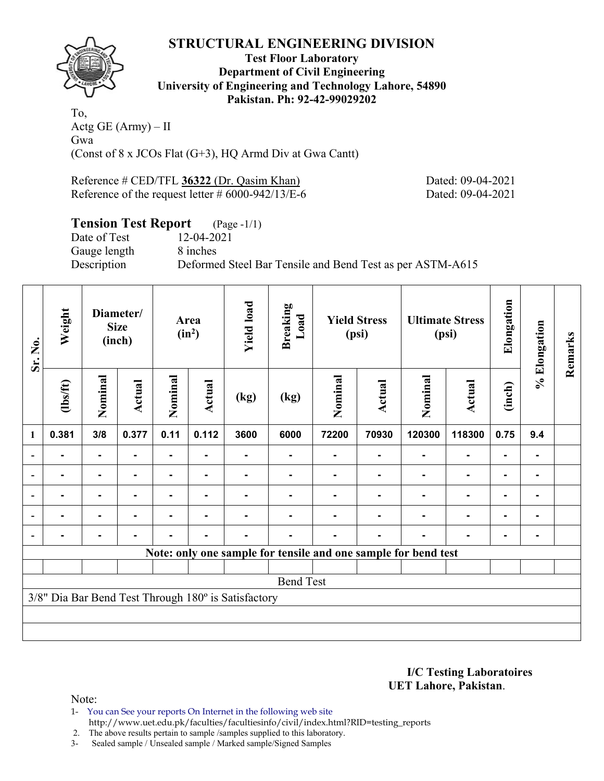

**Test Floor Laboratory Department of Civil Engineering University of Engineering and Technology Lahore, 54890 Pakistan. Ph: 92-42-99029202** 

To, Actg GE  $(Arm) - II$ Gwa (Const of 8 x JCOs Flat (G+3), HQ Armd Div at Gwa Cantt)

Reference # CED/TFL **36322** (Dr. Qasim Khan) Dated: 09-04-2021 Reference of the request letter # 6000-942/13/E-6 Dated: 09-04-2021

# **Tension Test Report** (Page -1/1)

Date of Test 12-04-2021 Gauge length 8 inches

Description Deformed Steel Bar Tensile and Bend Test as per ASTM-A615

| Sr. No.        | Weight<br>Diameter/<br><b>Size</b><br>(inch) |                |               |                | <b>Yield load</b><br>Area<br>$(in^2)$ |                                                     | <b>Breaking</b><br>Load | <b>Yield Stress</b><br>(psi) |        | <b>Ultimate Stress</b><br>(psi)                                |                | Elongation | % Elongation | Remarks |
|----------------|----------------------------------------------|----------------|---------------|----------------|---------------------------------------|-----------------------------------------------------|-------------------------|------------------------------|--------|----------------------------------------------------------------|----------------|------------|--------------|---------|
|                | (1bs/ft)                                     | Nominal        | <b>Actual</b> | Nominal        | Actual                                | (kg)                                                | (kg)                    | Nominal                      | Actual | Nominal                                                        | Actual         | (inch)     |              |         |
| $\mathbf{1}$   | 0.381                                        | 3/8            | 0.377         | 0.11           | 0.112                                 | 3600                                                | 6000                    | 72200                        | 70930  | 120300                                                         | 118300         | 0.75       | 9.4          |         |
|                |                                              | ۰              |               | ۰              |                                       |                                                     |                         |                              |        |                                                                | $\blacksquare$ |            |              |         |
|                |                                              | $\blacksquare$ |               |                |                                       |                                                     |                         |                              |        |                                                                |                |            |              |         |
| $\blacksquare$ |                                              | ٠              |               |                |                                       |                                                     |                         |                              |        |                                                                |                | ۰          |              |         |
|                | -                                            | $\blacksquare$ |               | $\blacksquare$ |                                       |                                                     |                         |                              |        |                                                                | $\blacksquare$ | ۰          |              |         |
|                |                                              | ٠              |               | $\blacksquare$ | ٠                                     |                                                     |                         |                              |        |                                                                | $\blacksquare$ | ۰          |              |         |
|                |                                              |                |               |                |                                       |                                                     |                         |                              |        | Note: only one sample for tensile and one sample for bend test |                |            |              |         |
|                |                                              |                |               |                |                                       |                                                     |                         |                              |        |                                                                |                |            |              |         |
|                |                                              |                |               |                |                                       |                                                     | <b>Bend Test</b>        |                              |        |                                                                |                |            |              |         |
|                |                                              |                |               |                |                                       | 3/8" Dia Bar Bend Test Through 180° is Satisfactory |                         |                              |        |                                                                |                |            |              |         |
|                |                                              |                |               |                |                                       |                                                     |                         |                              |        |                                                                |                |            |              |         |
|                |                                              |                |               |                |                                       |                                                     |                         |                              |        |                                                                |                |            |              |         |

**I/C Testing Laboratoires UET Lahore, Pakistan**.

Note:

1- You can See your reports On Internet in the following web site http://www.uet.edu.pk/faculties/facultiesinfo/civil/index.html?RID=testing\_reports

2. The above results pertain to sample /samples supplied to this laboratory.

3- Sealed sample / Unsealed sample / Marked sample/Signed Samples